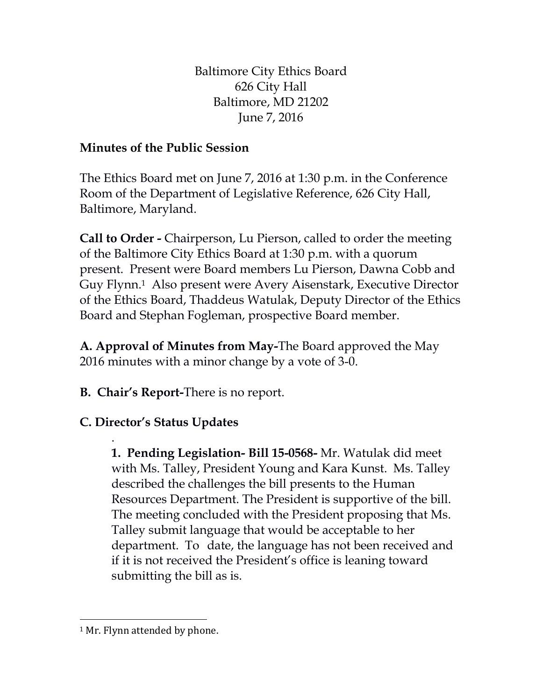Baltimore City Ethics Board 626 City Hall Baltimore, MD 21202 June 7, 2016

## **Minutes of the Public Session**

The Ethics Board met on June 7, 2016 at 1:30 p.m. in the Conference Room of the Department of Legislative Reference, 626 City Hall, Baltimore, Maryland.

**Call to Order -** Chairperson, Lu Pierson, called to order the meeting of the Baltimore City Ethics Board at 1:30 p.m. with a quorum present. Present were Board members Lu Pierson, Dawna Cobb and Guy Flynn. <sup>1</sup> Also present were Avery Aisenstark, Executive Director of the Ethics Board, Thaddeus Watulak, Deputy Director of the Ethics Board and Stephan Fogleman, prospective Board member.

**A. Approval of Minutes from May-**The Board approved the May 2016 minutes with a minor change by a vote of 3-0.

**B. Chair's Report-**There is no report.

## **C. Director's Status Updates**

. **1. Pending Legislation- Bill 15-0568-** Mr. Watulak did meet with Ms. Talley, President Young and Kara Kunst. Ms. Talley described the challenges the bill presents to the Human Resources Department. The President is supportive of the bill. The meeting concluded with the President proposing that Ms. Talley submit language that would be acceptable to her department. To date, the language has not been received and if it is not received the President's office is leaning toward submitting the bill as is.

 $\overline{\phantom{0}}$ 

<sup>&</sup>lt;sup>1</sup> Mr. Flynn attended by phone.